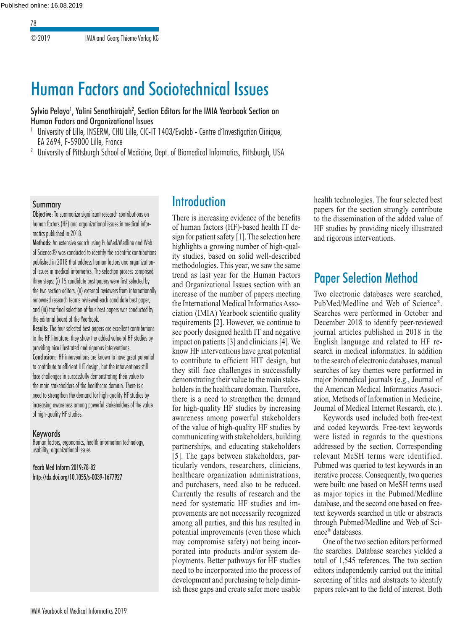78

©2019 IMIA and Georg Thieme Verlag KG

# Human Factors and Sociotechnical Issues

### Sylvia Pelayo<sup>1</sup>, Yalini Senathirajah<sup>2</sup>, Section Editors for the IMIA Yearbook Section on Human Factors and Organizational Issues

- <sup>1</sup> University of Lille, INSERM, CHU Lille, CIC-IT 1403/Evalab Centre d'Investigation Clinique, EA 2694, F-59000 Lille, France
- <sup>2</sup> University of Pittsburgh School of Medicine, Dept. of Biomedical Informatics, Pittsburgh, USA

#### Summary

Objective: To summarize significant research contributions on human factors (HF) and organizational issues in medical informatics published in 2018.

Methods: An extensive search using PubMed/Medline and Web of Science® was conducted to identify the scientific contributions published in 2018 that address human factors and organizational issues in medical informatics. The selection process comprised three steps: (i) 15 candidate best papers were first selected by the two section editors, (ii) external reviewers from internationally renowned research teams reviewed each candidate best paper, and (iii) the final selection of four best papers was conducted by the editorial board of the Yearbook.

Results: The four selected best papers are excellent contributions to the HF literature: they show the added value of HF studies by providing nice illustrated and rigorous interventions. Conclusion: HF interventions are known to have great potential to contribute to efficient HIT design, but the interventions still face challenges in successfully demonstrating their value to the main stakeholders of the healthcare domain. There is a need to strengthen the demand for high-quality HF studies by increasing awareness among powerful stakeholders of the value of high-quality HF studies.

#### Keywords

Human factors, ergonomics, health information technology, usability, organizational issues

Yearb Med Inform 2019:78-82 http://dx.doi.org/10.1055/s-0039-1677927

## **Introduction**

There is increasing evidence of the benefits of human factors (HF)-based health IT design for patient safety [1]. The selection here highlights a growing number of high-quality studies, based on solid well-described methodologies. This year, we saw the same trend as last year for the Human Factors and Organizational Issues section with an increase of the number of papers meeting the International Medical Informatics Association (IMIA) Yearbook scientific quality requirements [2]. However, we continue to see poorly designed health IT and negative impact on patients [3] and clinicians [4]. We know HF interventions have great potential to contribute to efficient HIT design, but they still face challenges in successfully demonstrating their value to the main stakeholders in the healthcare domain. Therefore, there is a need to strengthen the demand for high-quality HF studies by increasing awareness among powerful stakeholders of the value of high-quality HF studies by communicating with stakeholders, building partnerships, and educating stakeholders [5]. The gaps between stakeholders, particularly vendors, researchers, clinicians, healthcare organization administrations, and purchasers, need also to be reduced. Currently the results of research and the need for systematic HF studies and improvements are not necessarily recognized among all parties, and this has resulted in potential improvements (even those which may compromise safety) not being incorporated into products and/or system deployments. Better pathways for HF studies need to be incorporated into the process of development and purchasing to help diminish these gaps and create safer more usable

health technologies. The four selected best papers for the section strongly contribute to the dissemination of the added value of HF studies by providing nicely illustrated and rigorous interventions.

## Paper Selection Method

Two electronic databases were searched, PubMed/Medline and Web of Science®. Searches were performed in October and December 2018 to identify peer-reviewed journal articles published in 2018 in the English language and related to HF research in medical informatics. In addition to the search of electronic databases, manual searches of key themes were performed in major biomedical journals (e.g., Journal of the American Medical Informatics Association, Methods of Information in Medicine, Journal of Medical Internet Research, etc.).

Keywords used included both free-text and coded keywords. Free-text keywords were listed in regards to the questions addressed by the section. Corresponding relevant MeSH terms were identified. Pubmed was queried to test keywords in an iterative process. Consequently, two queries were built: one based on MeSH terms used as major topics in the Pubmed/Medline database, and the second one based on freetext keywords searched in title or abstracts through Pubmed/Medline and Web of Science® databases.

One of the two section editors performed the searches. Database searches yielded a total of 1,545 references. The two section editors independently carried out the initial screening of titles and abstracts to identify papers relevant to the field of interest. Both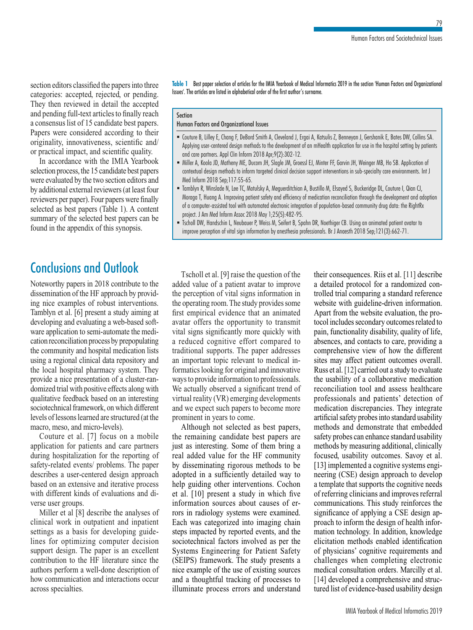section editors classified the papers into three categories: accepted, rejected, or pending. They then reviewed in detail the accepted and pending full-text articles to finally reach a consensus list of 15 candidate best papers. Papers were considered according to their originality, innovativeness, scientific and/ or practical impact, and scientific quality.

In accordance with the IMIA Yearbook selection process, the 15 candidate best papers were evaluated by the two section editors and by additional external reviewers (at least four reviewers per paper). Four papers were finally selected as best papers (Table 1). A content summary of the selected best papers can be found in the appendix of this synopsis.

## Conclusions and Outlook

Noteworthy papers in 2018 contribute to the dissemination of the HF approach by providing nice examples of robust interventions. Tamblyn et al. [6] present a study aiming at developing and evaluating a web-based software application to semi-automate the medication reconciliation process by prepopulating the community and hospital medication lists using a regional clinical data repository and the local hospital pharmacy system. They provide a nice presentation of a cluster-randomized trial with positive effects along with qualitative feedback based on an interesting sociotechnical framework, on which different levels of lessons learned are structured (at the macro, meso, and micro-levels).

Couture et al. [7] focus on a mobile application for patients and care partners during hospitalization for the reporting of safety-related events/ problems. The paper describes a user-centered design approach based on an extensive and iterative process with different kinds of evaluations and diverse user groups.

Miller et al [8] describe the analyses of clinical work in outpatient and inpatient settings as a basis for developing guidelines for optimizing computer decision support design. The paper is an excellent contribution to the HF literature since the authors perform a well-done description of how communication and interactions occur across specialties.

**Table 1** Best paper selection of articles for the IMIA Yearbook of Medical Informatics 2019 in the section 'Human Factors and Organizational Issues'. The articles are listed in alphabetical order of the first author's surname.

#### Section

#### Human Factors and Organizational Issues

- Couture B, Lilley E, Chang F, DeBord Smith A, Cleveland J, Ergai A, Katsulis Z, Benneyan J, Gershanik E, Bates DW, Collins SA. Applying user-centered design methods to the development of an mHealth application for use in the hospital setting by patients and care partners. Appl Clin Inform 2018 Apr;9(2):302-12.
- $\blacksquare$  Miller A, Koola JD, Matheny ME, Ducom JH, Slagle JM, Groessl EJ, Minter FF, Garvin JH, Weinger MB, Ho SB. Application of contextual design methods to inform targeted clinical decision support interventions in sub-specialty care environments. Int J Med Inform 2018 Sep;117:55-65.
- Tamblyn R, Winslade N, Lee TC, Motulsky A, Meguerditchian A, Bustillo M, Elsayed S, Buckeridge DL, Couture I, Qian CJ, Moraga T, Huang A. Improving patient safety and efficiency of medication reconciliation through the development and adoption of a computer-assisted tool with automated electronic integration of population-based community drug data: the RightRx project. J Am Med Inform Assoc 2018 May 1;25(5):482-95.
- Tscholl DW, Handschin L, Neubauer P, Weiss M, Seifert B, Spahn DR, Noethiger CB. Using an animated patient avatar to improve perception of vital sign information by anesthesia professionals. Br J Anaesth 2018 Sep;121(3):662-71.

Tscholl et al. [9] raise the question of the added value of a patient avatar to improve the perception of vital signs information in the operating room. The study provides some first empirical evidence that an animated avatar offers the opportunity to transmit vital signs significantly more quickly with a reduced cognitive effort compared to traditional supports. The paper addresses an important topic relevant to medical informatics looking for original and innovative ways to provide information to professionals. We actually observed a significant trend of virtual reality (VR) emerging developments and we expect such papers to become more prominent in years to come.

Although not selected as best papers, the remaining candidate best papers are just as interesting. Some of them bring a real added value for the HF community by disseminating rigorous methods to be adopted in a sufficiently detailed way to help guiding other interventions. Cochon et al. [10] present a study in which five information sources about causes of errors in radiology systems were examined. Each was categorized into imaging chain steps impacted by reported events, and the sociotechnical factors involved as per the Systems Engineering for Patient Safety (SEIPS) framework. The study presents a nice example of the use of existing sources and a thoughtful tracking of processes to illuminate process errors and understand their consequences. Riis et al. [11] describe a detailed protocol for a randomized controlled trial comparing a standard reference website with guideline-driven information. Apart from the website evaluation, the protocol includes secondary outcomes related to pain, functionality disability, quality of life, absences, and contacts to care, providing a comprehensive view of how the different sites may affect patient outcomes overall. Russ et al. [12] carried out a study to evaluate the usability of a collaborative medication reconciliation tool and assess healthcare professionals and patients' detection of medication discrepancies. They integrate artificial safety probes into standard usability methods and demonstrate that embedded safety probes can enhance standard usability methods by measuring additional, clinically focused, usability outcomes. Savoy et al. [13] implemented a cognitive systems engineering (CSE) design approach to develop a template that supports the cognitive needs of referring clinicians and improves referral communications. This study reinforces the significance of applying a CSE design approach to inform the design of health information technology. In addition, knowledge elicitation methods enabled identification of physicians' cognitive requirements and challenges when completing electronic medical consultation orders. Marcilly et al. [14] developed a comprehensive and structured list of evidence-based usability design

79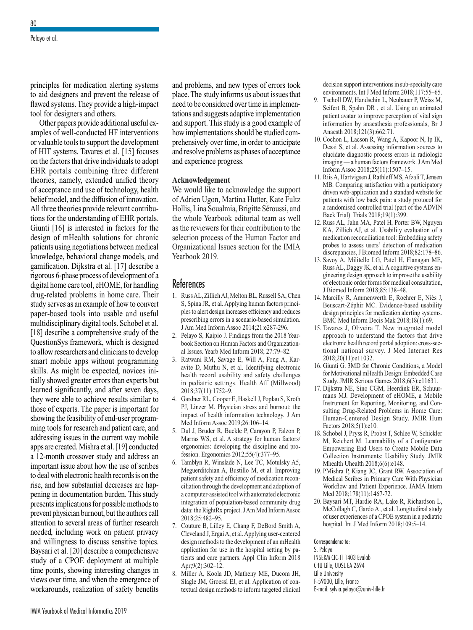principles for medication alerting systems to aid designers and prevent the release of flawed systems. They provide a high-impact tool for designers and others.

Other papers provide additional useful examples of well-conducted HF interventions or valuable tools to support the development of HIT systems. Tavares et al. [15] focuses on the factors that drive individuals to adopt EHR portals combining three different theories, namely, extended unified theory of acceptance and use of technology, health belief model, and the diffusion of innovation. All three theories provide relevant contributions for the understanding of EHR portals. Giunti [16] is interested in factors for the design of mHealth solutions for chronic patients using negotiations between medical knowledge, behavioral change models, and gamification. Dijkstra et al. [17] describe a rigorous 6-phase process of development of a digital home care tool, eHOME, for handling drug-related problems in home care. Their study serves as an example of how to convert paper-based tools into usable and useful multidisciplinary digital tools. Schobel et al. [18] describe a comprehensive study of the QuestionSys framework, which is designed to allow researchers and clinicians to develop smart mobile apps without programming skills. As might be expected, novices initially showed greater errors than experts but learned significantly, and after seven days, they were able to achieve results similar to those of experts. The paper is important for showing the feasibility of end-user programming tools for research and patient care, and addressing issues in the current way mobile apps are created. Mishra et al. [19] conducted a 12-month crossover study and address an important issue about how the use of scribes to deal with electronic health records is on the rise, and how substantial decreases are happening in documentation burden. This study presents implications for possible methods to prevent physician burnout, but the authors call attention to several areas of further research needed, including work on patient privacy and willingness to discuss sensitive topics. Baysari et al. [20] describe a comprehensive study of a CPOE deployment at multiple time points, showing interesting changes in views over time, and when the emergence of workarounds, realization of safety benefits

and problems, and new types of errors took place. The study informs us about issues that need to be considered over time in implementations and suggests adaptive implementation and support. This study is a good example of how implementations should be studied comprehensively over time, in order to anticipate and resolve problems as phases of acceptance and experience progress.

#### **Acknowledgement**

We would like to acknowledge the support of Adrien Ugon, Martina Hutter, Kate Fultz Hollis, Lina Soualmia, Brigitte Séroussi, and the whole Yearbook editorial team as well as the reviewers for their contribution to the selection process of the Human Factor and Organizational Issues section for the IMIA Yearbook 2019.

## References

- 1. Russ AL, Zillich AJ, Melton BL, Russell SA, Chen S, Spina JR, et al. Applying human factors principles to alert design increases efficiency and reduces prescribing errors in a scenario-based simulation. J Am Med Inform Assoc 2014;21:e287-296.
- 2. Pelayo S, Kaipio J. Findings from the 2018 Yearbook Section on Human Factors and Organizational Issues. Yearb Med Inform 2018; 27:79–82.
- 3. Ratwani RM, Savage E, Will A, Fong A, Karavite D, Muthu N, et al. Identifying electronic health record usability and safety challenges in pediatric settings. Health Aff (Millwood) 2018;37(11):1752–9.
- 4. Gardner RL, Cooper E, Haskell J, Poplau S, Kroth PJ, Linzer M. Physician stress and burnout: the impact of health information technology. J Am Med Inform Assoc 2019;26:106–14.
- 5. Dul J, Bruder R, Buckle P, Carayon P, Falzon P, Marras WS, et al. A strategy for human factors/ ergonomics: developing the discipline and profession. Ergonomics 2012;55(4):377–95.
- Tamblyn R, Winslade N, Lee TC, Motulsky A5, Meguerditchian A, Bustillo M, et al. Improving patient safety and efficiency of medication reconciliation through the development and adoption of a computer-assisted tool with automated electronic integration of population-based community drug data: the RightRx project. J Am Med Inform Assoc 2018;25:482–95.
- 7. Couture B, Lilley E, Chang F, DeBord Smith A, Cleveland J, Ergai A, et al. Applying user-centered design methods to the development of an mHealth application for use in the hospital setting by patients and care partners. Appl Clin Inform 2018 Apr;9(2):302–12.
- 8. Miller A, Koola JD, Matheny ME, Ducom JH, Slagle JM, Groessl EJ, et al. Application of contextual design methods to inform targeted clinical

decision support interventions in sub-specialty care environments. Int J Med Inform 2018;117:55–65.

- 9. Tscholl DW, Handschin L, Neubauer P, Weiss M, Seifert B, Spahn DR , et al. Using an animated patient avatar to improve perception of vital sign information by anaesthesia professionals, Br J Anaesth 2018;121(3):662:71.
- 10. Cochon L, Lacson R, Wang A, Kapoor N, Ip IK, Desai S, et al. Assessing information sources to elucidate diagnostic process errors in radiologic imaging — a human factors framework. J Am Med Inform Assoc 2018;25(11):1507–15.
- 11. Riis A, Hartvigsen J, Rathleff MS, Afzali T, Jensen MB. Comparing satisfaction with a participatory driven web-application and a standard website for patients with low back pain: a study protocol for a randomised controlled trial (part of the ADVIN Back Trial). Trials 2018;19(1):399.
- 12. Russ AL, Jahn MA, Patel H, Porter BW, Nguyen KA, Zillich AJ, et al. Usability evaluation of a medication reconciliation tool: Embedding safety probes to assess users' detection of medication discrepancies, J Biomed Inform 2018;82:178–86.
- 13. Savoy A, Militello LG, Patel H, Flanagan ME, Russ AL, Daggy JK, et al. A cognitive systems engineering design approach to improve the usability of electronic order forms for medical consultation, J Biomed Inform 2018;85:138–48.
- 14. Marcilly R, Ammenwerth E, Roehrer E, Niès J, Beuscart-Zéphir MC. Evidence-based usability design principles for medication alerting systems. BMC Med Inform Decis Mak 2018;18(1):69.
- 15. Tavares J, Oliveira T. New integrated model approach to understand the factors that drive electronic health record portal adoption: cross-sectional national survey. J Med Internet Res 2018;20(11):e11032.
- 16. Giunti G. 3MD for Chronic Conditions, a Model for Motivational mHealth Design: Embedded Case Study. JMIR Serious Games 2018;6(3):e11631.
- 17. Dijkstra NE, Sino CGM, Heerdink ER, Schuurmans MJ. Development of eHOME, a Mobile Instrument for Reporting, Monitoring, and Consulting Drug-Related Problems in Home Care: Human-Centered Design Study. JMIR Hum Factors 2018;5(1):e10.
- 18. Schobel J, Pryss R, Probst T, Schlee W, Schickler M, Reichert M. Learnability of a Configurator Empowering End Users to Create Mobile Data Collection Instruments: Usability Study. JMIR Mhealth Uhealth 2018;6(6):e148.
- 19. PMishra P, Kiang JC, Grant RW. Association of Medical Scribes in Primary Care With Physician Workflow and Patient Experience. JAMA Intern Med 2018;178(11):1467-72.
- 20. Baysari MT, Hardie RA, Lake R, Richardson L, McCullagh C, Gardo A , et al. Longitudinal study of user experiences of a CPOE system in a pediatric hospital. Int J Med Inform 2018;109:5–14.

Correspondence to:

S. Pelayo INSERM CIC-IT 1403 Evalab CHU Lille, UDSL EA 2694 Lille University F-59000, Lille, France E-mail: sylvia.pelayo@univ-lille.fr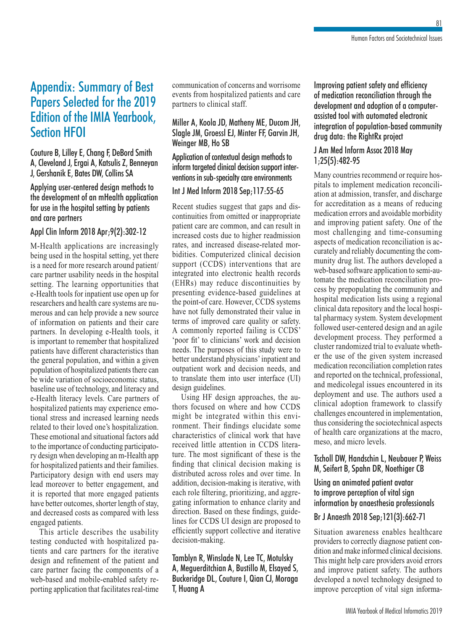81

## Appendix: Summary of Best Papers Selected for the 2019 Edition of the IMIA Yearbook, Section HFOI

Couture B, Lilley E, Chang F, DeBord Smith A, Cleveland J, Ergai A, Katsulis Z, Benneyan J, Gershanik E, Bates DW, Collins SA

Applying user-centered design methods to the development of an mHealth application for use in the hospital setting by patients and care partners

Appl Clin Inform 2018 Apr;9(2):302-12

M-Health applications are increasingly being used in the hospital setting, yet there is a need for more research around patient/ care partner usability needs in the hospital setting. The learning opportunities that e-Health tools for inpatient use open up for researchers and health care systems are numerous and can help provide a new source of information on patients and their care partners. In developing e-Health tools, it is important to remember that hospitalized patients have different characteristics than the general population, and within a given population of hospitalized patients there can be wide variation of socioeconomic status, baseline use of technology, and literacy and e-Health literacy levels. Care partners of hospitalized patients may experience emotional stress and increased learning needs related to their loved one's hospitalization. These emotional and situational factors add to the importance of conducting participatory design when developing an m-Health app for hospitalized patients and their families. Participatory design with end users may lead moreover to better engagement, and it is reported that more engaged patients have better outcomes, shorter length of stay, and decreased costs as compared with less engaged patients.

This article describes the usability testing conducted with hospitalized patients and care partners for the iterative design and refinement of the patient and care partner facing the components of a web-based and mobile-enabled safety reporting application that facilitates real-time communication of concerns and worrisome events from hospitalized patients and care partners to clinical staff.

Miller A, Koola JD, Matheny ME, Ducom JH, Slagle JM, Groessl EJ, Minter FF, Garvin JH, Weinger MB, Ho SB

Application of contextual design methods to inform targeted clinical decision support interventions in sub-specialty care environments

### Int J Med Inform 2018 Sep;117:55-65

Recent studies suggest that gaps and discontinuities from omitted or inappropriate patient care are common, and can result in increased costs due to higher readmission rates, and increased disease-related morbidities. Computerized clinical decision support (CCDS) interventions that are integrated into electronic health records (EHRs) may reduce discontinuities by presenting evidence-based guidelines at the point-of care. However, CCDS systems have not fully demonstrated their value in terms of improved care quality or safety. A commonly reported failing is CCDS' 'poor fit' to clinicians' work and decision needs. The purposes of this study were to better understand physicians' inpatient and outpatient work and decision needs, and to translate them into user interface (UI) design guidelines.

Using HF design approaches, the authors focused on where and how CCDS might be integrated within this environment. Their findings elucidate some characteristics of clinical work that have received little attention in CCDS literature. The most significant of these is the finding that clinical decision making is distributed across roles and over time. In addition, decision-making is iterative, with each role filtering, prioritizing, and aggregating information to enhance clarity and direction. Based on these findings, guidelines for CCDS UI design are proposed to efficiently support collective and iterative decision-making.

### Tamblyn R, Winslade N, Lee TC, Motulsky A, Meguerditchian A, Bustillo M, Elsayed S, Buckeridge DL, Couture I, Qian CJ, Moraga T, Huang A

Improving patient safety and efficiency of medication reconciliation through the development and adoption of a computerassisted tool with automated electronic integration of population-based community drug data: the RightRx project

### J Am Med Inform Assoc 2018 May 1;25(5):482-95

Many countries recommend or require hospitals to implement medication reconciliation at admission, transfer, and discharge for accreditation as a means of reducing medication errors and avoidable morbidity and improving patient safety. One of the most challenging and time-consuming aspects of medication reconciliation is accurately and reliably documenting the community drug list. The authors developed a web-based software application to semi-automate the medication reconciliation process by prepopulating the community and hospital medication lists using a regional clinical data repository and the local hospital pharmacy system. System development followed user-centered design and an agile development process. They performed a cluster randomized trial to evaluate whether the use of the given system increased medication reconciliation completion rates and reported on the technical, professional, and medicolegal issues encountered in its deployment and use. The authors used a clinical adoption framework to classify challenges encountered in implementation, thus considering the sociotechnical aspects of health care organizations at the macro, meso, and micro levels.

## Tscholl DW, Handschin L, Neubauer P, Weiss M, Seifert B, Spahn DR, Noethiger CB

Using an animated patient avatar to improve perception of vital sign information by anaesthesia professionals

## Br J Anaesth 2018 Sep;121(3):662-71

Situation awareness enables healthcare providers to correctly diagnose patient condition and make informed clinical decisions. This might help care providers avoid errors and improve patient safety. The authors developed a novel technology designed to improve perception of vital sign informa